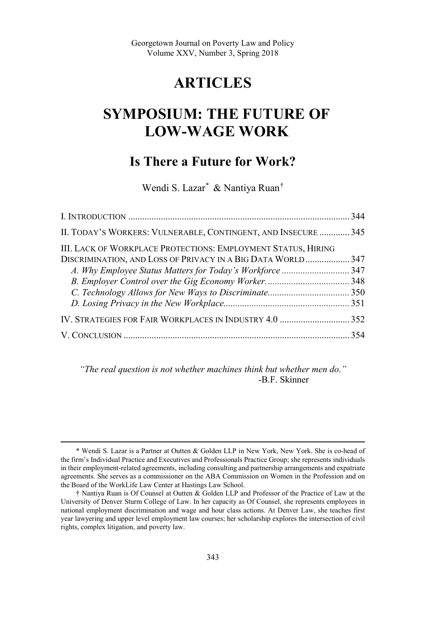## **ARTICLES**

# **SYMPOSIUM: THE FUTURE OF LOW-WAGE WORK**

## **Is There a Future for Work?**

Wendi S. Lazar\* & Nantiya Ruan†

| II. TODAY'S WORKERS: VULNERABLE, CONTINGENT, AND INSECURE  345<br>III. LACK OF WORKPLACE PROTECTIONS: EMPLOYMENT STATUS, HIRING<br>DISCRIMINATION, AND LOSS OF PRIVACY IN A BIG DATA WORLD 347 |  |
|------------------------------------------------------------------------------------------------------------------------------------------------------------------------------------------------|--|
|                                                                                                                                                                                                |  |
|                                                                                                                                                                                                |  |
|                                                                                                                                                                                                |  |
|                                                                                                                                                                                                |  |
|                                                                                                                                                                                                |  |
|                                                                                                                                                                                                |  |
|                                                                                                                                                                                                |  |
|                                                                                                                                                                                                |  |
|                                                                                                                                                                                                |  |

*"The real question is not whether machines think but whether men do."*  -B.F. Skinner

 <sup>\*</sup> Wendi S. Lazar is a Partner at Outten & Golden LLP in New York, New York. She is co-head of the firm's Individual Practice and Executives and Professionals Practice Group; she represents individuals in their employment-related agreements, including consulting and partnership arrangements and expatriate agreements. She serves as a commissioner on the ABA Commission on Women in the Profession and on the Board of the WorkLife Law Center at Hastings Law School.

<sup>†</sup> Nantiya Ruan is Of Counsel at Outten & Golden LLP and Professor of the Practice of Law at the University of Denver Sturm College of Law. In her capacity as Of Counsel, she represents employees in national employment discrimination and wage and hour class actions. At Denver Law, she teaches first year lawyering and upper level employment law courses; her scholarship explores the intersection of civil rights, complex litigation, and poverty law.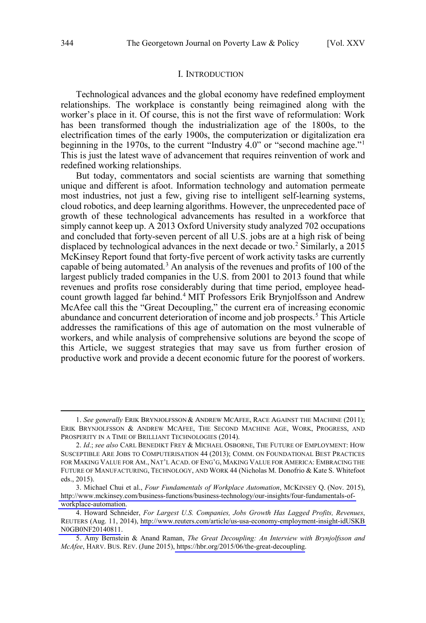#### I. INTRODUCTION

<span id="page-1-0"></span>Technological advances and the global economy have redefined employment relationships. The workplace is constantly being reimagined along with the worker's place in it. Of course, this is not the first wave of reformulation: Work has been transformed though the industrialization age of the 1800s, to the electrification times of the early 1900s, the computerization or digitalization era beginning in the 1970s, to the current "Industry 4.0" or "second machine age."1 This is just the latest wave of advancement that requires reinvention of work and redefined working relationships.

But today, commentators and social scientists are warning that something unique and different is afoot. Information technology and automation permeate most industries, not just a few, giving rise to intelligent self-learning systems, cloud robotics, and deep learning algorithms. However, the unprecedented pace of growth of these technological advancements has resulted in a workforce that simply cannot keep up. A 2013 Oxford University study analyzed 702 occupations and concluded that forty-seven percent of all U.S. jobs are at a high risk of being displaced by technological advances in the next decade or two.<sup>2</sup> Similarly, a 2015 McKinsey Report found that forty-five percent of work activity tasks are currently capable of being automated.<sup>3</sup> An analysis of the revenues and profits of 100 of the largest publicly traded companies in the U.S. from 2001 to 2013 found that while revenues and profits rose considerably during that time period, employee headcount growth lagged far behind.<sup>4</sup> MIT Professors Erik Brynjolfsson and Andrew McAfee call this the "Great Decoupling," the current era of increasing economic abundance and concurrent deterioration of income and job prospects.<sup>5</sup> This Article addresses the ramifications of this age of automation on the most vulnerable of workers, and while analysis of comprehensive solutions are beyond the scope of this Article, we suggest strategies that may save us from further erosion of productive work and provide a decent economic future for the poorest of workers.

 <sup>1.</sup> *See generally* ERIK BRYNJOLFSSON & ANDREW MCAFEE, RACE AGAINST THE MACHINE (2011); ERIK BRYNJOLFSSON & ANDREW MCAFEE, THE SECOND MACHINE AGE, WORK, PROGRESS, AND PROSPERITY IN A TIME OF BRILLIANT TECHNOLOGIES (2014).

<sup>2.</sup> *Id*.; *see also* CARL BENEDIKT FREY & MICHAEL OSBORNE, THE FUTURE OF EMPLOYMENT: HOW SUSCEPTIBLE ARE JOBS TO COMPUTERISATION 44 (2013); COMM. ON FOUNDATIONAL BEST PRACTICES FOR MAKING VALUE FOR AM., NAT'L ACAD. OF ENG'G, MAKING VALUE FOR AMERICA: EMBRACING THE FUTURE OF MANUFACTURING, TECHNOLOGY, AND WORK 44 (Nicholas M. Donofrio & Kate S. Whitefoot eds., 2015).

Michael Chui et al., *Four Fundamentals of Workplace Automation*, MCKINSEY Q. (Nov. 2015), 3. [http://www.mckinsey.com/business-functions/business-technology/our-insights/four-fundamentals-of](http://www.mckinsey.com/business-functions/business-technology/our-insights/four-fundamentals-of-workplace-automation)[workplace-automation.](http://www.mckinsey.com/business-functions/business-technology/our-insights/four-fundamentals-of-workplace-automation)

Howard Schneider, *For Largest U.S. Companies, Jobs Growth Has Lagged Profits, Revenues*, 4. REUTERS (Aug. 11, 2014), [http://www.reuters.com/article/us-usa-economy-employment-insight-idUSKB](http://www.reuters.com/article/us-usa-economy-employment-insight-idUSKBN0GB0NF20140811) [N0GB0NF20140811](http://www.reuters.com/article/us-usa-economy-employment-insight-idUSKBN0GB0NF20140811).

Amy Bernstein & Anand Raman, *The Great Decoupling: An Interview with Brynjolfsson and*  5. *McAfee*, HARV. BUS. REV. (June 2015), [https://hbr.org/2015/06/the-great-decoupling.](https://hbr.org/2015/06/the-great-decoupling)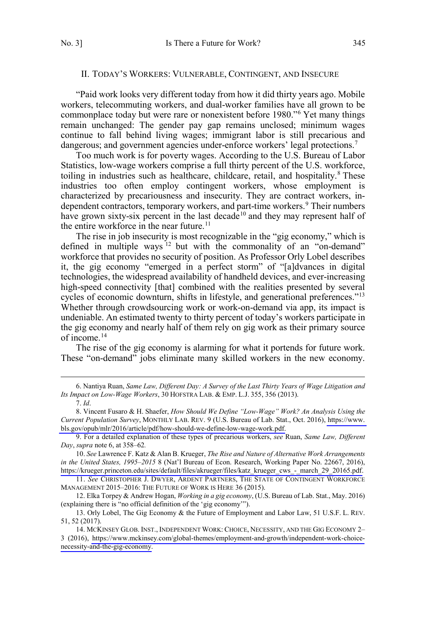#### <span id="page-2-0"></span>II. TODAY'S WORKERS: VULNERABLE, CONTINGENT, AND INSECURE

"Paid work looks very different today from how it did thirty years ago. Mobile workers, telecommuting workers, and dual-worker families have all grown to be commonplace today but were rare or nonexistent before 1980."6 Yet many things remain unchanged: The gender pay gap remains unclosed; minimum wages continue to fall behind living wages; immigrant labor is still precarious and dangerous; and government agencies under-enforce workers' legal protections.<sup>7</sup>

Too much work is for poverty wages. According to the U.S. Bureau of Labor Statistics, low-wage workers comprise a full thirty percent of the U.S. workforce, toiling in industries such as healthcare, childcare, retail, and hospitality.<sup>8</sup> These industries too often employ contingent workers, whose employment is characterized by precariousness and insecurity. They are contract workers, independent contractors, temporary workers, and part-time workers.<sup>9</sup> Their numbers have grown sixty-six percent in the last decade<sup>10</sup> and they may represent half of the entire workforce in the near future.<sup>11</sup>

The rise in job insecurity is most recognizable in the "gig economy," which is defined in multiple ways <sup>12</sup> but with the commonality of an "on-demand" workforce that provides no security of position. As Professor Orly Lobel describes it, the gig economy "emerged in a perfect storm" of "[a]dvances in digital technologies, the widespread availability of handheld devices, and ever-increasing high-speed connectivity [that] combined with the realities presented by several cycles of economic downturn, shifts in lifestyle, and generational preferences."13 Whether through crowdsourcing work or work-on-demand via app, its impact is undeniable. An estimated twenty to thirty percent of today's workers participate in the gig economy and nearly half of them rely on gig work as their primary source of income.14

The rise of the gig economy is alarming for what it portends for future work. These "on-demand" jobs eliminate many skilled workers in the new economy.

 <sup>6.</sup> Nantiya Ruan, *Same Law, Different Day: A Survey of the Last Thirty Years of Wage Litigation and Its Impact on Low-Wage Workers*, 30 HOFSTRA LAB. & EMP. L.J. 355, 356 (2013). 7. *Id*.

Vincent Fusaro & H. Shaefer, *How Should We Define "Low-Wage" Work? An Analysis Using the*  8. *Current Population Survey*, MONTHLY LAB. REV. 9 (U.S. Bureau of Lab. Stat., Oct. 2016), [https://www.](https://www.bls.gov/opub/mlr/2016/article/pdf/how-should-we-define-low-wage-work.pdf) [bls.gov/opub/mlr/2016/article/pdf/how-should-we-define-low-wage-work.pdf.](https://www.bls.gov/opub/mlr/2016/article/pdf/how-should-we-define-low-wage-work.pdf)

<sup>9.</sup> For a detailed explanation of these types of precarious workers, *see* Ruan, *Same Law, Different Day*, *supra* note 6, at 358–62*.* 

*See* Lawrence F. Katz & Alan B. Krueger, *The Rise and Nature of Alternative Work Arrangements*  10. *in the United States, 1995–2015* 8 (Nat'l Bureau of Econ. Research, Working Paper No. 22667, 2016), [https://krueger.princeton.edu/sites/default/files/akrueger/files/katz\\_krueger\\_cws\\_-\\_march\\_29\\_20165.pdf.](https://krueger.princeton.edu/sites/default/files/akrueger/files/katz_krueger_cws_-_march_29_20165.pdf)

<sup>11.</sup> *See* CHRISTOPHER J. DWYER, ARDENT PARTNERS, THE STATE OF CONTINGENT WORKFORCE MANAGEMENT 2015–2016: THE FUTURE OF WORK IS HERE 36 (2015).

<sup>12.</sup> Elka Torpey & Andrew Hogan, *Working in a gig economy*, (U.S. Bureau of Lab. Stat., May. 2016) (explaining there is "no official definition of the 'gig economy'").

<sup>13.</sup> Orly Lobel, The Gig Economy & the Future of Employment and Labor Law, 51 U.S.F. L. REV. 51, 52 (2017).

<sup>14.</sup> MCKINSEY GLOB. INST., INDEPENDENT WORK: CHOICE, NECESSITY, AND THE GIG ECONOMY 2-3 (2016), [https://www.mckinsey.com/global-themes/employment-and-growth/independent-work-choice](https://www.mckinsey.com/global-themes/employment-and-growth/independent-work-choice-necessity-and-the-gig-economy)[necessity-and-the-gig-economy.](https://www.mckinsey.com/global-themes/employment-and-growth/independent-work-choice-necessity-and-the-gig-economy)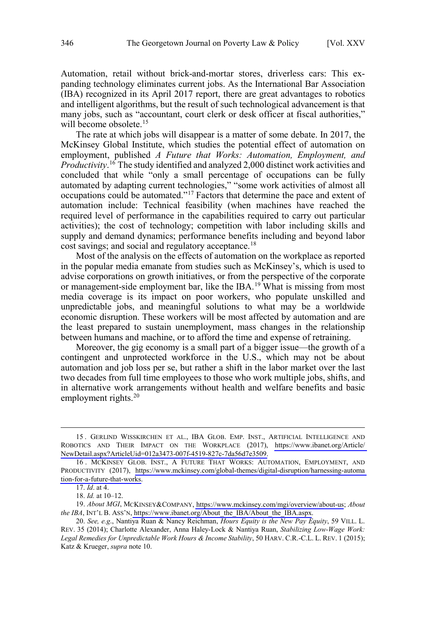Automation, retail without brick-and-mortar stores, driverless cars: This expanding technology eliminates current jobs. As the International Bar Association (IBA) recognized in its April 2017 report, there are great advantages to robotics and intelligent algorithms, but the result of such technological advancement is that many jobs, such as "accountant, court clerk or desk officer at fiscal authorities," will become obsolete.<sup>15</sup>

The rate at which jobs will disappear is a matter of some debate. In 2017, the McKinsey Global Institute, which studies the potential effect of automation on employment, published *A Future that Works: Automation, Employment, and Productivity*. 16 The study identified and analyzed 2,000 distinct work activities and concluded that while "only a small percentage of occupations can be fully automated by adapting current technologies," "some work activities of almost all occupations could be automated."17 Factors that determine the pace and extent of automation include: Technical feasibility (when machines have reached the required level of performance in the capabilities required to carry out particular activities); the cost of technology; competition with labor including skills and supply and demand dynamics; performance benefits including and beyond labor cost savings; and social and regulatory acceptance.<sup>18</sup>

Most of the analysis on the effects of automation on the workplace as reported in the popular media emanate from studies such as McKinsey's, which is used to advise corporations on growth initiatives, or from the perspective of the corporate or management-side employment bar, like the IBA.<sup>19</sup> What is missing from most media coverage is its impact on poor workers, who populate unskilled and unpredictable jobs, and meaningful solutions to what may be a worldwide economic disruption. These workers will be most affected by automation and are the least prepared to sustain unemployment, mass changes in the relationship between humans and machine, or to afford the time and expense of retraining.

Moreover, the gig economy is a small part of a bigger issue—the growth of a contingent and unprotected workforce in the U.S., which may not be about automation and job loss per se, but rather a shift in the labor market over the last two decades from full time employees to those who work multiple jobs, shifts, and in alternative work arrangements without health and welfare benefits and basic employment rights. $20$ 

<sup>15.</sup> GERLIND WISSKIRCHEN ET AL., IBA GLOB. EMP. INST., ARTIFICIAL INTELLIGENCE AND ROBOTICS AND THEIR IMPACT ON THE WORKPLACE (2017), [https://www.ibanet.org/Article/](https://www.ibanet.org/Article/NewDetail.aspx?ArticleUid=012a3473-007f-4519-827c-7da56d7e3509) [NewDetail.aspx?ArticleUid=012a3473-007f-4519-827c-7da56d7e3509.](https://www.ibanet.org/Article/NewDetail.aspx?ArticleUid=012a3473-007f-4519-827c-7da56d7e3509)

<sup>16.</sup> MCKINSEY GLOB. INST., A FUTURE THAT WORKS: AUTOMATION, EMPLOYMENT, AND PRODUCTIVITY (2017), [https://www.mckinsey.com/global-themes/digital-disruption/harnessing-automa](https://www.mckinsey.com/global-themes/digital-disruption/harnessing-automation-for-a-future-that-works) [tion-for-a-future-that-works.](https://www.mckinsey.com/global-themes/digital-disruption/harnessing-automation-for-a-future-that-works)

<sup>17.</sup> *Id*. at 4.

<sup>18.</sup> *Id.* at 10–12.

*About MGI*, MCKINSEY&COMPANY,<https://www.mckinsey.com/mgi/overview/about-us>; *About*  19. *the IBA*, INT'L B. ASS'N, [https://www.ibanet.org/About\\_the\\_IBA/About\\_the\\_IBA.aspx.](https://www.ibanet.org/About_the_IBA/About_the_IBA.aspx)

<sup>20.</sup> *See, e.g*., Nantiya Ruan & Nancy Reichman, *Hours Equity is the New Pay Equity*, 59 VILL. L. REV. 35 (2014); Charlotte Alexander, Anna Haley-Lock & Nantiya Ruan, *Stabilizing Low-Wage Work: Legal Remedies for Unpredictable Work Hours & Income Stability*, 50 HARV. C.R.-C.L. L. REV. 1 (2015); Katz & Krueger, *supra* note 10.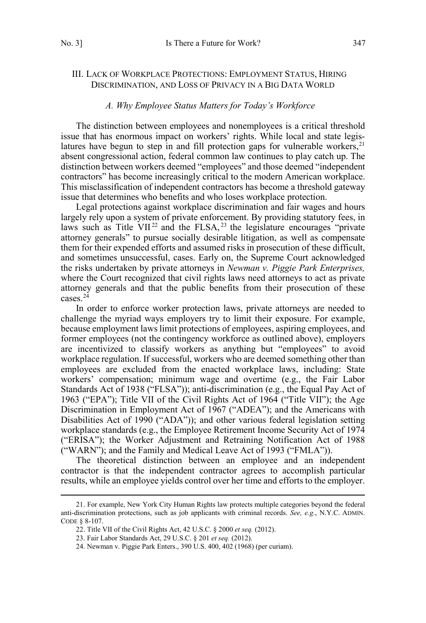### <span id="page-4-0"></span>III. LACK OF WORKPLACE PROTECTIONS: EMPLOYMENT STATUS, HIRING DISCRIMINATION, AND LOSS OF PRIVACY IN A BIG DATA WORLD

#### *A. Why Employee Status Matters for Today's Workforce*

The distinction between employees and nonemployees is a critical threshold issue that has enormous impact on workers' rights. While local and state legislatures have begun to step in and fill protection gaps for vulnerable workers,  $21$ absent congressional action, federal common law continues to play catch up. The distinction between workers deemed "employees" and those deemed "independent contractors" has become increasingly critical to the modern American workplace. This misclassification of independent contractors has become a threshold gateway issue that determines who benefits and who loses workplace protection.

Legal protections against workplace discrimination and fair wages and hours largely rely upon a system of private enforcement. By providing statutory fees, in laws such as Title  $VII^{22}$  and the FLSA,  $23$  the legislature encourages "private attorney generals" to pursue socially desirable litigation, as well as compensate them for their expended efforts and assumed risks in prosecution of these difficult, and sometimes unsuccessful, cases. Early on, the Supreme Court acknowledged the risks undertaken by private attorneys in *Newman v. Piggie Park Enterprises,* where the Court recognized that civil rights laws need attorneys to act as private attorney generals and that the public benefits from their prosecution of these cases.24

In order to enforce worker protection laws, private attorneys are needed to challenge the myriad ways employers try to limit their exposure. For example, because employment laws limit protections of employees, aspiring employees, and former employees (not the contingency workforce as outlined above), employers are incentivized to classify workers as anything but "employees" to avoid workplace regulation. If successful, workers who are deemed something other than employees are excluded from the enacted workplace laws, including: State workers' compensation; minimum wage and overtime (e.g., the Fair Labor Standards Act of 1938 ("FLSA")); anti-discrimination (e.g., the Equal Pay Act of 1963 ("EPA"); Title VII of the Civil Rights Act of 1964 ("Title VII"); the Age Discrimination in Employment Act of 1967 ("ADEA"); and the Americans with Disabilities Act of 1990 ("ADA")); and other various federal legislation setting workplace standards (e.g., the Employee Retirement Income Security Act of 1974 ("ERISA"); the Worker Adjustment and Retraining Notification Act of 1988 ("WARN"); and the Family and Medical Leave Act of 1993 ("FMLA")).

The theoretical distinction between an employee and an independent contractor is that the independent contractor agrees to accomplish particular results, while an employee yields control over her time and efforts to the employer.

 <sup>21.</sup> For example, New York City Human Rights law protects multiple categories beyond the federal anti-discrimination protections, such as job applicants with criminal records. *See, e.g.*, N.Y.C. ADMIN. CODE § 8-107.

<sup>22.</sup> Title VII of the Civil Rights Act, 42 U.S.C. § 2000 *et seq.* (2012).

<sup>23.</sup> Fair Labor Standards Act, 29 U.S.C. § 201 *et seq.* (2012).

<sup>24.</sup> Newman v. Piggie Park Enters., 390 U.S. 400, 402 (1968) (per curiam).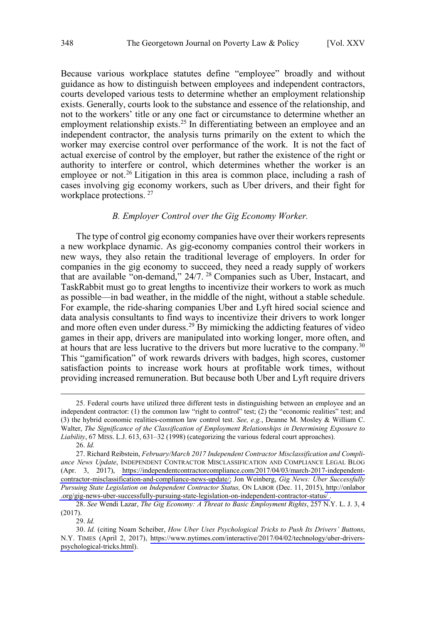<span id="page-5-0"></span>Because various workplace statutes define "employee" broadly and without guidance as how to distinguish between employees and independent contractors, courts developed various tests to determine whether an employment relationship exists. Generally, courts look to the substance and essence of the relationship, and not to the workers' title or any one fact or circumstance to determine whether an employment relationship exists.<sup>25</sup> In differentiating between an employee and an independent contractor, the analysis turns primarily on the extent to which the worker may exercise control over performance of the work. It is not the fact of actual exercise of control by the employer, but rather the existence of the right or authority to interfere or control, which determines whether the worker is an employee or not.<sup>26</sup> Litigation in this area is common place, including a rash of cases involving gig economy workers, such as Uber drivers, and their fight for workplace protections. 27

#### *B. Employer Control over the Gig Economy Worker.*

The type of control gig economy companies have over their workers represents a new workplace dynamic. As gig-economy companies control their workers in new ways, they also retain the traditional leverage of employers. In order for companies in the gig economy to succeed, they need a ready supply of workers that are available "on-demand," 24/7. <sup>28</sup> Companies such as Uber, Instacart, and TaskRabbit must go to great lengths to incentivize their workers to work as much as possible—in bad weather, in the middle of the night, without a stable schedule. For example, the ride-sharing companies Uber and Lyft hired social science and data analysis consultants to find ways to incentivize their drivers to work longer and more often even under duress.29 By mimicking the addicting features of video games in their app, drivers are manipulated into working longer, more often, and at hours that are less lucrative to the drivers but more lucrative to the company.<sup>30</sup> This "gamification" of work rewards drivers with badges, high scores, customer satisfaction points to increase work hours at profitable work times, without providing increased remuneration. But because both Uber and Lyft require drivers

29. *Id.*

 <sup>25.</sup> Federal courts have utilized three different tests in distinguishing between an employee and an independent contractor: (1) the common law "right to control" test; (2) the "economic realities" test; and (3) the hybrid economic realities-common law control test. *See, e.g.*, Deanne M. Mosley & William C. Walter, *The Significance of the Classification of Employment Relationships in Determining Exposure to Liability*, 67 MISS. L.J. 613, 631–32 (1998) (categorizing the various federal court approaches).

<sup>26.</sup> *Id.*

<sup>27.</sup> Richard Reibstein, February/March 2017 Independent Contractor Misclassification and Compli*ance News Update*, INDEPENDENT CONTRACTOR MISCLASSIFICATION AND COMPLIANCE LEGAL BLOG (Apr. 3, 2017), [https://independentcontractorcompliance.com/2017/04/03/march-2017-independent](https://independentcontractorcompliance.com/2017/04/03/march-2017-independent-contractor-misclassification-and-compliance-news-update/)[contractor-misclassification-and-compliance-news-update/;](https://independentcontractorcompliance.com/2017/04/03/march-2017-independent-contractor-misclassification-and-compliance-news-update/) Jon Weinberg, *Gig News: Uber Successfully Pursuing State Legislation on Independent Contractor Status,* ON LABOR (Dec. 11, 2015), [http://onlabor](http://onlabor.org/gig-news-uber-successfully-pursuing-state-legislation-on-independent-contractor-status/) [.org/gig-news-uber-successfully-pursuing-state-legislation-on-independent-contractor-status/](http://onlabor.org/gig-news-uber-successfully-pursuing-state-legislation-on-independent-contractor-status/) .

<sup>28.</sup> *See* Wendi Lazar, *The Gig Economy: A Threat to Basic Employment Rights*, 257 N.Y. L. J. 3, 4 (2017).

*Id.* (citing Noam Scheiber, *How Uber Uses Psychological Tricks to Push Its Drivers' Buttons*, 30. N.Y. TIMES (April 2, 2017), [https://www.nytimes.com/interactive/2017/04/02/technology/uber-drivers](https://www.nytimes.com/interactive/2017/04/02/technology/uber-drivers-psychological-tricks.html)[psychological-tricks.html](https://www.nytimes.com/interactive/2017/04/02/technology/uber-drivers-psychological-tricks.html)).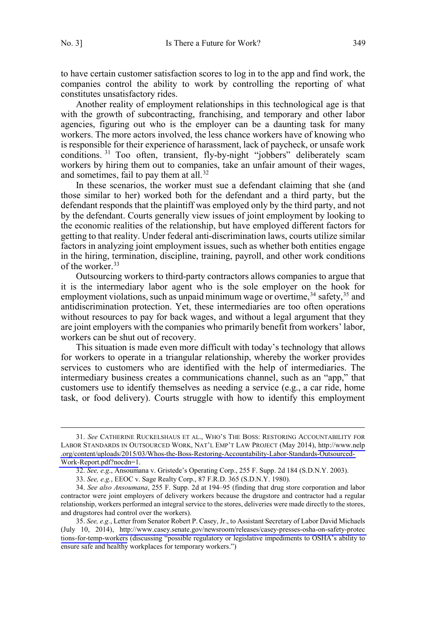to have certain customer satisfaction scores to log in to the app and find work, the companies control the ability to work by controlling the reporting of what constitutes unsatisfactory rides.

Another reality of employment relationships in this technological age is that with the growth of subcontracting, franchising, and temporary and other labor agencies, figuring out who is the employer can be a daunting task for many workers. The more actors involved, the less chance workers have of knowing who is responsible for their experience of harassment, lack of paycheck, or unsafe work conditions. <sup>31</sup> Too often, transient, fly-by-night "jobbers" deliberately scam workers by hiring them out to companies, take an unfair amount of their wages, and sometimes, fail to pay them at all.<sup>32</sup>

In these scenarios, the worker must sue a defendant claiming that she (and those similar to her) worked both for the defendant and a third party, but the defendant responds that the plaintiff was employed only by the third party, and not by the defendant. Courts generally view issues of joint employment by looking to the economic realities of the relationship, but have employed different factors for getting to that reality. Under federal anti-discrimination laws, courts utilize similar factors in analyzing joint employment issues, such as whether both entities engage in the hiring, termination, discipline, training, payroll, and other work conditions of the worker.<sup>33</sup>

Outsourcing workers to third-party contractors allows companies to argue that it is the intermediary labor agent who is the sole employer on the hook for employment violations, such as unpaid minimum wage or overtime,  $34$  safety,  $35$  and antidiscrimination protection. Yet, these intermediaries are too often operations without resources to pay for back wages, and without a legal argument that they are joint employers with the companies who primarily benefit from workers' labor, workers can be shut out of recovery.

This situation is made even more difficult with today's technology that allows for workers to operate in a triangular relationship, whereby the worker provides services to customers who are identified with the help of intermediaries. The intermediary business creates a communications channel, such as an "app," that customers use to identify themselves as needing a service (e.g., a car ride, home task, or food delivery). Courts struggle with how to identify this employment

*See* CATHERINE RUCKELSHAUS ET AL., WHO'S THE BOSS: RESTORING ACCOUNTABILITY FOR 31. LABOR STANDARDS IN OUTSOURCED WORK, NAT'L EMP'T LAW PROJECT (May 2014), [http://www.nelp](http://www.nelp.org/content/uploads/2015/03/Whos-the-Boss-Restoring-Accountability-Labor-Standards-Outsourced-Work-Report.pdf?nocdn=1) [.org/content/uploads/2015/03/Whos-the-Boss-Restoring-Accountability-Labor-Standards-Outsourced-](http://www.nelp.org/content/uploads/2015/03/Whos-the-Boss-Restoring-Accountability-Labor-Standards-Outsourced-Work-Report.pdf?nocdn=1)[Work-Report.pdf?nocdn=1](http://www.nelp.org/content/uploads/2015/03/Whos-the-Boss-Restoring-Accountability-Labor-Standards-Outsourced-Work-Report.pdf?nocdn=1).

<sup>32.</sup> *See, e.g*., Ansoumana v. Gristede's Operating Corp., 255 F. Supp. 2d 184 (S.D.N.Y. 2003).

<sup>33.</sup> *See, e.g.*, EEOC v. Sage Realty Corp., 87 F.R.D. 365 (S.D.N.Y. 1980).

<sup>34.</sup> *See also Ansoumana*, 255 F. Supp. 2d at 194–95 (finding that drug store corporation and labor contractor were joint employers of delivery workers because the drugstore and contractor had a regular relationship, workers performed an integral service to the stores, deliveries were made directly to the stores, and drugstores had control over the workers).

*See, e.g.*, Letter from Senator Robert P. Casey, Jr., to Assistant Secretary of Labor David Michaels 35.(July 10, 2014), [http://www.casey.senate.gov/newsroom/releases/casey-presses-osha-on-safety-protec](http://www.casey.senate.gov/newsroom/releases/casey-presses-osha-on-safety-protections-for-temp-workers) [tions-for-temp-workers](http://www.casey.senate.gov/newsroom/releases/casey-presses-osha-on-safety-protections-for-temp-workers) (discussing "possible regulatory or legislative impediments to OSHA's ability to ensure safe and healthy workplaces for temporary workers.")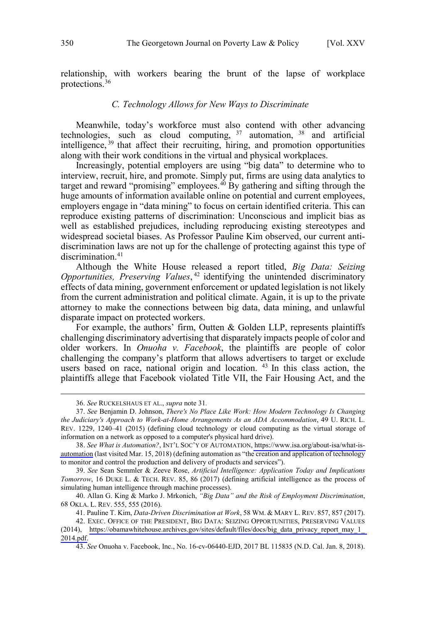<span id="page-7-0"></span>relationship, with workers bearing the brunt of the lapse of workplace protections.<sup>36</sup>

#### *C. Technology Allows for New Ways to Discriminate*

Meanwhile, today's workforce must also contend with other advancing technologies, such as cloud computing,  $37$  automation,  $38$  and artificial intelligence, <sup>39</sup> that affect their recruiting, hiring, and promotion opportunities along with their work conditions in the virtual and physical workplaces.

Increasingly, potential employers are using "big data" to determine who to interview, recruit, hire, and promote. Simply put, firms are using data analytics to target and reward "promising" employees. $40$  By gathering and sifting through the huge amounts of information available online on potential and current employees, employers engage in "data mining" to focus on certain identified criteria. This can reproduce existing patterns of discrimination: Unconscious and implicit bias as well as established prejudices, including reproducing existing stereotypes and widespread societal biases. As Professor Pauline Kim observed, our current antidiscrimination laws are not up for the challenge of protecting against this type of discrimination.<sup>41</sup>

Although the White House released a report titled, *Big Data: Seizing*  Opportunities, Preserving Values,<sup>42</sup> identifying the unintended discriminatory effects of data mining, government enforcement or updated legislation is not likely from the current administration and political climate. Again, it is up to the private attorney to make the connections between big data, data mining, and unlawful disparate impact on protected workers.

For example, the authors' firm, Outten & Golden LLP, represents plaintiffs challenging discriminatory advertising that disparately impacts people of color and older workers. In *Onuoha v. Facebook*, the plaintiffs are people of color challenging the company's platform that allows advertisers to target or exclude users based on race, national origin and location. <sup>43</sup> In this class action, the plaintiffs allege that Facebook violated Title VII, the Fair Housing Act, and the

39. *See* Sean Semmler & Zeeve Rose, *Artificial Intelligence: Application Today and Implications Tomorrow*, 16 DUKE L. & TECH. REV. 85, 86 (2017) (defining artificial intelligence as the process of simulating human intelligence through machine processes).

 <sup>36.</sup> *See* RUCKELSHAUS ET AL., *supra* note 31*.*

<sup>37.</sup> *See* Benjamin D. Johnson, *There's No Place Like Work: How Modern Technology Is Changing the Judiciary's Approach to Work-at-Home Arrangements As an ADA Accommodation*, 49 U. RICH. L. REV. 1229, 1240–41 (2015) (defining cloud technology or cloud computing as the virtual storage of information on a network as opposed to a computer's physical hard drive).

*See What is Automation?*, INT'L SOC'Y OF AUTOMATION, [https://www.isa.org/about-isa/what-is-](https://www.isa.org/about-isa/what-is-automation)38. [automation](https://www.isa.org/about-isa/what-is-automation) (last visited Mar. 15, 2018) (defining automation as "the creation and application of technology to monitor and control the production and delivery of products and services").

<sup>40.</sup> Allan G. King & Marko J. Mrkonich, *"Big Data" and the Risk of Employment Discrimination*, 68 OKLA. L. REV. 555, 555 (2016).

<sup>41.</sup> Pauline T. Kim, *Data-Driven Discrimination at Work*, 58 WM. & MARY L. REV. 857, 857 (2017).

<sup>42.</sup> EXEC. OFFICE OF THE PRESIDENT, BIG DATA: SEIZING OPPORTUNITIES, PRESERVING VALUES (2014), [https://obamawhitehouse.archives.gov/sites/default/files/docs/big\\_data\\_privacy\\_report\\_may\\_1\\_](https://obamawhitehouse.archives.gov/sites/default/files/docs/big_data_privacy_report_may_1_2014.pdf) [2014.pdf.](https://obamawhitehouse.archives.gov/sites/default/files/docs/big_data_privacy_report_may_1_2014.pdf)

<sup>43.</sup> *See* Onuoha v. Facebook, Inc., No. 16-cv-06440-EJD, 2017 BL 115835 (N.D. Cal. Jan. 8, 2018).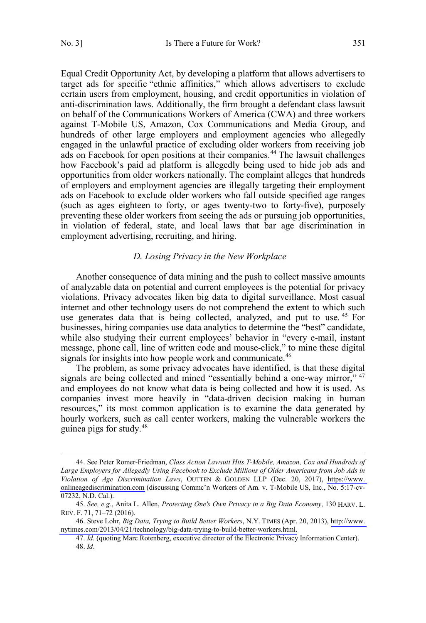<span id="page-8-0"></span>Equal Credit Opportunity Act, by developing a platform that allows advertisers to target ads for specific "ethnic affinities," which allows advertisers to exclude certain users from employment, housing, and credit opportunities in violation of anti-discrimination laws. Additionally, the firm brought a defendant class lawsuit on behalf of the Communications Workers of America (CWA) and three workers against T-Mobile US, Amazon, Cox Communications and Media Group, and hundreds of other large employers and employment agencies who allegedly engaged in the unlawful practice of excluding older workers from receiving job ads on Facebook for open positions at their companies.<sup>44</sup> The lawsuit challenges how Facebook's paid ad platform is allegedly being used to hide job ads and opportunities from older workers nationally. The complaint alleges that hundreds of employers and employment agencies are illegally targeting their employment ads on Facebook to exclude older workers who fall outside specified age ranges (such as ages eighteen to forty, or ages twenty-two to forty-five), purposely preventing these older workers from seeing the ads or pursuing job opportunities, in violation of federal, state, and local laws that bar age discrimination in employment advertising, recruiting, and hiring.

#### *D. Losing Privacy in the New Workplace*

Another consequence of data mining and the push to collect massive amounts of analyzable data on potential and current employees is the potential for privacy violations. Privacy advocates liken big data to digital surveillance. Most casual internet and other technology users do not comprehend the extent to which such use generates data that is being collected, analyzed, and put to use.<sup>45</sup> For businesses, hiring companies use data analytics to determine the "best" candidate, while also studying their current employees' behavior in "every e-mail, instant message, phone call, line of written code and mouse-click," to mine these digital signals for insights into how people work and communicate.<sup>46</sup>

The problem, as some privacy advocates have identified, is that these digital signals are being collected and mined "essentially behind a one-way mirror," 47 and employees do not know what data is being collected and how it is used. As companies invest more heavily in "data-driven decision making in human resources," its most common application is to examine the data generated by hourly workers, such as call center workers, making the vulnerable workers the guinea pigs for study.48

See Peter Romer-Friedman, *Class Action Lawsuit Hits T-Mobile, Amazon, Cox and Hundreds of*  44. *Large Employers for Allegedly Using Facebook to Exclude Millions of Older Americans from Job Ads in Violation of Age Discrimination Laws*, OUTTEN & GOLDEN LLP (Dec. 20, 2017), [https://www.](https://www.onlineagediscrimination.com) [onlineagediscrimination.com](https://www.onlineagediscrimination.com) (discussing Commc'n Workers of Am. v. T-Mobile US, Inc., No. 5:17-cv-07232, N.D. Cal.).

<sup>45.</sup> *See, e.g.*, Anita L. Allen, *Protecting One's Own Privacy in a Big Data Economy*, 130 HARV. L. REV. F. 71, 71–72 (2016).

<sup>46.</sup> Steve Lohr, *Big Data, Trying to Build Better Workers*, N.Y. TIMES (Apr. 20, 2013), [http://www.](http://www.nytimes.com/2013/04/21/technology/big-data-trying-to-build-better-workers.html) [nytimes.com/2013/04/21/technology/big-data-trying-to-build-better-workers.html.](http://www.nytimes.com/2013/04/21/technology/big-data-trying-to-build-better-workers.html)

<sup>47.</sup> *Id.* (quoting Marc Rotenberg, executive director of the Electronic Privacy Information Center). 48. *Id*.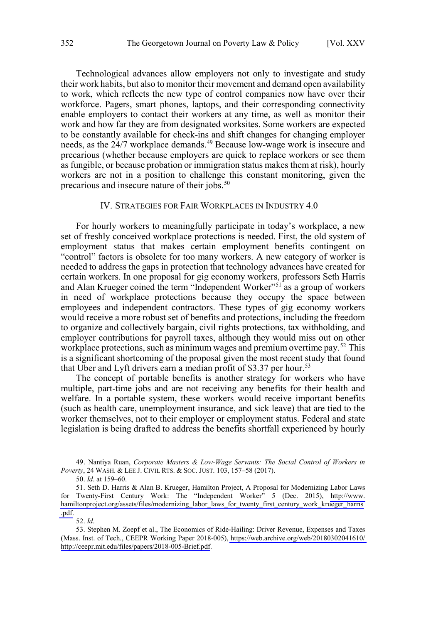<span id="page-9-0"></span>Technological advances allow employers not only to investigate and study their work habits, but also to monitor their movement and demand open availability to work, which reflects the new type of control companies now have over their workforce. Pagers, smart phones, laptops, and their corresponding connectivity enable employers to contact their workers at any time, as well as monitor their work and how far they are from designated worksites. Some workers are expected to be constantly available for check-ins and shift changes for changing employer needs, as the 24/7 workplace demands.<sup>49</sup> Because low-wage work is insecure and precarious (whether because employers are quick to replace workers or see them as fungible, or because probation or immigration status makes them at risk), hourly workers are not in a position to challenge this constant monitoring, given the precarious and insecure nature of their jobs.<sup>50</sup>

#### IV. STRATEGIES FOR FAIR WORKPLACES IN INDUSTRY 4.0

For hourly workers to meaningfully participate in today's workplace, a new set of freshly conceived workplace protections is needed. First, the old system of employment status that makes certain employment benefits contingent on "control" factors is obsolete for too many workers. A new category of worker is needed to address the gaps in protection that technology advances have created for certain workers. In one proposal for gig economy workers, professors Seth Harris and Alan Krueger coined the term "Independent Worker"<sup>51</sup> as a group of workers in need of workplace protections because they occupy the space between employees and independent contractors. These types of gig economy workers would receive a more robust set of benefits and protections, including the freedom to organize and collectively bargain, civil rights protections, tax withholding, and employer contributions for payroll taxes, although they would miss out on other workplace protections, such as minimum wages and premium overtime pay.<sup>52</sup> This is a significant shortcoming of the proposal given the most recent study that found that Uber and Lyft drivers earn a median profit of \$3.37 per hour.<sup>53</sup>

The concept of portable benefits is another strategy for workers who have multiple, part-time jobs and are not receiving any benefits for their health and welfare. In a portable system, these workers would receive important benefits (such as health care, unemployment insurance, and sick leave) that are tied to the worker themselves, not to their employer or employment status. Federal and state legislation is being drafted to address the benefits shortfall experienced by hourly

 <sup>49.</sup> Nantiya Ruan, *Corporate Masters & Low-Wage Servants: The Social Control of Workers in Poverty*, 24 WASH. & LEE J. CIVIL RTS. & SOC. JUST. 103, 157–58 (2017).

<sup>50.</sup> *Id*. at 159–60.

<sup>51.</sup> Seth D. Harris & Alan B. Krueger, Hamilton Project, A Proposal for Modernizing Labor Laws for Twenty-First Century Work: The "Independent Worker" 5 (Dec. 2015), [http://www.](http://www.hamiltonproject.org/assets/files/modernizing_labor_laws_for_twenty_first_century_work_krueger_harris.pdf) [hamiltonproject.org/assets/files/modernizing\\_labor\\_laws\\_for\\_twenty\\_first\\_century\\_work\\_krueger\\_harris](http://www.hamiltonproject.org/assets/files/modernizing_labor_laws_for_twenty_first_century_work_krueger_harris.pdf) [.pdf.](http://www.hamiltonproject.org/assets/files/modernizing_labor_laws_for_twenty_first_century_work_krueger_harris.pdf)

<sup>52.</sup> *Id*.

<sup>53.</sup> Stephen M. Zoepf et al., The Economics of Ride-Hailing: Driver Revenue, Expenses and Taxes (Mass. Inst. of Tech., CEEPR Working Paper 2018-005), [https://web.archive.org/web/20180302041610/](https://web.archive.org/web/20180302041610/ http://ceepr.mit.edu/files/papers/2018-005-Brief.pdf) [http://ceepr.mit.edu/files/papers/2018-005-Brief.pdf.](https://web.archive.org/web/20180302041610/ http://ceepr.mit.edu/files/papers/2018-005-Brief.pdf)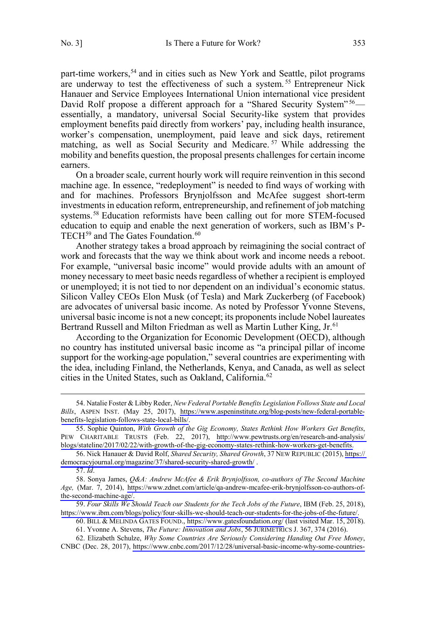part-time workers,<sup>54</sup> and in cities such as New York and Seattle, pilot programs are underway to test the effectiveness of such a system.<sup>55</sup> Entrepreneur Nick Hanauer and Service Employees International Union international vice president David Rolf propose a different approach for a "Shared Security System"<sup>56</sup>essentially, a mandatory, universal Social Security-like system that provides employment benefits paid directly from workers' pay, including health insurance, worker's compensation, unemployment, paid leave and sick days, retirement matching, as well as Social Security and Medicare. <sup>57</sup> While addressing the mobility and benefits question, the proposal presents challenges for certain income earners.

On a broader scale, current hourly work will require reinvention in this second machine age. In essence, "redeployment" is needed to find ways of working with and for machines. Professors Brynjolfsson and McAfee suggest short-term investments in education reform, entrepreneurship, and refinement of job matching systems.<sup>58</sup> Education reformists have been calling out for more STEM-focused education to equip and enable the next generation of workers, such as IBM's P-TECH<sup>59</sup> and The Gates Foundation.<sup>60</sup>

Another strategy takes a broad approach by reimagining the social contract of work and forecasts that the way we think about work and income needs a reboot. For example, "universal basic income" would provide adults with an amount of money necessary to meet basic needs regardless of whether a recipient is employed or unemployed; it is not tied to nor dependent on an individual's economic status. Silicon Valley CEOs Elon Musk (of Tesla) and Mark Zuckerberg (of Facebook) are advocates of universal basic income. As noted by Professor Yvonne Stevens, universal basic income is not a new concept; its proponents include Nobel laureates Bertrand Russell and Milton Friedman as well as Martin Luther King, Jr.<sup>61</sup>

According to the Organization for Economic Development (OECD), although no country has instituted universal basic income as "a principal pillar of income support for the working-age population," several countries are experimenting with the idea, including Finland, the Netherlands, Kenya, and Canada, as well as select cities in the United States, such as Oakland, California.<sup>62</sup>

*Four Skills We Should Teach our Students for the Tech Jobs of the Future*, IBM (Feb. 25, 2018), 59. [https://www.ibm.com/blogs/policy/four-skills-we-should-teach-our-students-for-the-jobs-of-the-future/.](https://www.ibm.com/blogs/policy/four-skills-we-should-teach-our-students-for-the-jobs-of-the-future/)

62. Elizabeth Schulze, *Why Some Countries Are Seriously Considering Handing Out Free Money*, CNBC (Dec. 28, 2017), [https://www.cnbc.com/2017/12/28/universal-basic-income-why-some-countries-](https://www.cnbc.com/2017/12/28/universal-basic-income-why-some-countries-are-seriously-considering-handing-out-free-money.html)

Natalie Foster & Libby Reder, *New Federal Portable Benefits Legislation Follows State and Local*  54. *Bills*, ASPEN INST. (May 25, 2017), [https://www.aspeninstitute.org/blog-posts/new-federal-portable](https://www.aspeninstitute.org/blog-posts/new-federal-portable-benefits-legislation-follows-state-local-bills/)[benefits-legislation-follows-state-local-bills/](https://www.aspeninstitute.org/blog-posts/new-federal-portable-benefits-legislation-follows-state-local-bills/).

<sup>55.</sup> Sophie Quinton, *With Growth of the Gig Economy, States Rethink How Workers Get Benefits*, PEW CHARITABLE TRUSTS (Feb. 22, 2017), [http://www.pewtrusts.org/en/research-and-analysis/](http://www.pewtrusts.org/en/research-and-analysis/blogs/stateline/2017/02/22/with-growth-of-the-gig-economy-states-rethink-how-workers-get-benefits) [blogs/stateline/2017/02/22/with-growth-of-the-gig-economy-states-rethink-how-workers-get-benefits.](http://www.pewtrusts.org/en/research-and-analysis/blogs/stateline/2017/02/22/with-growth-of-the-gig-economy-states-rethink-how-workers-get-benefits)

<sup>56.</sup> Nick Hanauer & David Rolf, *Shared Security, Shared Growth*, 37 NEW REPUBLIC (2015), [https://](https://democracyjournal.org/magazine/37/shared-security-shared-growth/) [democracyjournal.org/magazine/37/shared-security-shared-growth/](https://democracyjournal.org/magazine/37/shared-security-shared-growth/) .

<sup>57.</sup> *Id*.

<sup>58.</sup> Sonya James, *Q&A: Andrew McAfee & Erik Brynjolfsson, co-authors of The Second Machine Age,* (Mar. 7, 2014), [https://www.zdnet.com/article/qa-andrew-mcafee-erik-brynjolfsson-co-authors-of](https://www.zdnet.com/article/qa-andrew-mcafee-erik-brynjolfsson-co-authors-of-the-second-machine-age/)[the-second-machine-age/.](https://www.zdnet.com/article/qa-andrew-mcafee-erik-brynjolfsson-co-authors-of-the-second-machine-age/)

BILL & MELINDA GATES FOUND.,<https://www.gatesfoundation.org/> (last visited Mar. 15, 2018). 60.

<sup>61.</sup> Yvonne A. Stevens, *The Future: Innovation and Jobs*, 56 JURIMETRICS J. 367, 374 (2016).